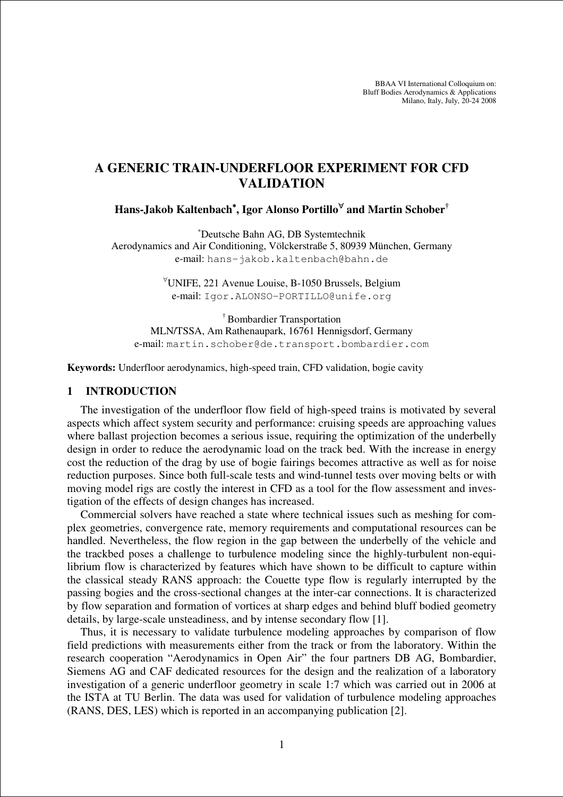BBAA VI International Colloquium on: Bluff Bodies Aerodynamics & Applications Milano, Italy, July, 20-24 2008

# **A GENERIC TRAIN-UNDERFLOOR EXPERIMENT FOR CFD VALIDATION**

**Hans-Jakob Kaltenbach**<sup>∗</sup>**, Igor Alonso Portillo**<sup>∀</sup> **and Martin Schober†** 

<sup>∗</sup>Deutsche Bahn AG, DB Systemtechnik Aerodynamics and Air Conditioning, Völckerstraße 5, 80939 München, Germany e-mail: hans-jakob.kaltenbach@bahn.de

> <sup>∀</sup>UNIFE, 221 Avenue Louise, B-1050 Brussels, Belgium e-mail: Igor.ALONSO-PORTILLO@unife.org

† Bombardier Transportation MLN/TSSA, Am Rathenaupark, 16761 Hennigsdorf, Germany e-mail: martin.schober@de.transport.bombardier.com

**Keywords:** Underfloor aerodynamics, high-speed train, CFD validation, bogie cavity

#### **1 INTRODUCTION**

The investigation of the underfloor flow field of high-speed trains is motivated by several aspects which affect system security and performance: cruising speeds are approaching values where ballast projection becomes a serious issue, requiring the optimization of the underbelly design in order to reduce the aerodynamic load on the track bed. With the increase in energy cost the reduction of the drag by use of bogie fairings becomes attractive as well as for noise reduction purposes. Since both full-scale tests and wind-tunnel tests over moving belts or with moving model rigs are costly the interest in CFD as a tool for the flow assessment and investigation of the effects of design changes has increased.

Commercial solvers have reached a state where technical issues such as meshing for complex geometries, convergence rate, memory requirements and computational resources can be handled. Nevertheless, the flow region in the gap between the underbelly of the vehicle and the trackbed poses a challenge to turbulence modeling since the highly-turbulent non-equilibrium flow is characterized by features which have shown to be difficult to capture within the classical steady RANS approach: the Couette type flow is regularly interrupted by the passing bogies and the cross-sectional changes at the inter-car connections. It is characterized by flow separation and formation of vortices at sharp edges and behind bluff bodied geometry details, by large-scale unsteadiness, and by intense secondary flow [1].

Thus, it is necessary to validate turbulence modeling approaches by comparison of flow field predictions with measurements either from the track or from the laboratory. Within the research cooperation "Aerodynamics in Open Air" the four partners DB AG, Bombardier, Siemens AG and CAF dedicated resources for the design and the realization of a laboratory investigation of a generic underfloor geometry in scale 1:7 which was carried out in 2006 at the ISTA at TU Berlin. The data was used for validation of turbulence modeling approaches (RANS, DES, LES) which is reported in an accompanying publication [2].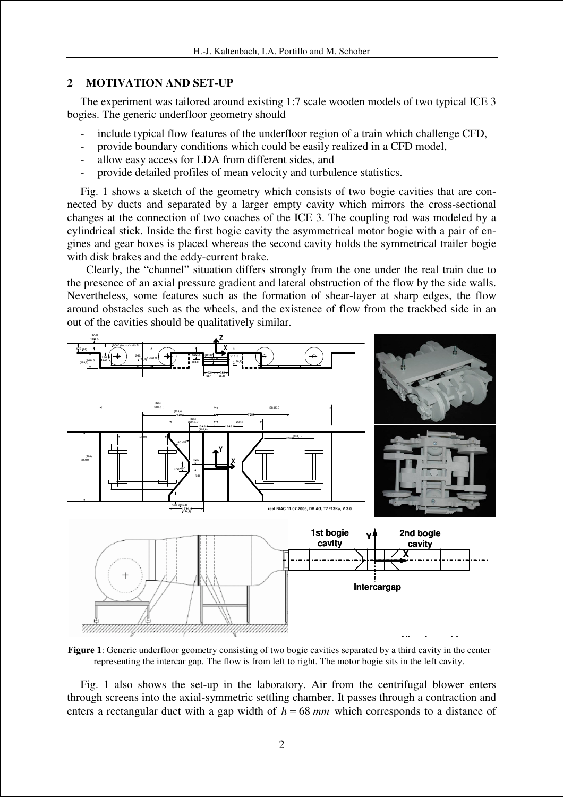## **2 MOTIVATION AND SET-UP**

The experiment was tailored around existing 1:7 scale wooden models of two typical ICE 3 bogies. The generic underfloor geometry should

- include typical flow features of the underfloor region of a train which challenge CFD,
- provide boundary conditions which could be easily realized in a CFD model,
- allow easy access for LDA from different sides, and
- provide detailed profiles of mean velocity and turbulence statistics.

Fig. 1 shows a sketch of the geometry which consists of two bogie cavities that are connected by ducts and separated by a larger empty cavity which mirrors the cross-sectional changes at the connection of two coaches of the ICE 3. The coupling rod was modeled by a cylindrical stick. Inside the first bogie cavity the asymmetrical motor bogie with a pair of engines and gear boxes is placed whereas the second cavity holds the symmetrical trailer bogie with disk brakes and the eddy-current brake.

 Clearly, the "channel" situation differs strongly from the one under the real train due to the presence of an axial pressure gradient and lateral obstruction of the flow by the side walls. Nevertheless, some features such as the formation of shear-layer at sharp edges, the flow around obstacles such as the wheels, and the existence of flow from the trackbed side in an out of the cavities should be qualitatively similar.



**Figure 1**: Generic underfloor geometry consisting of two bogie cavities separated by a third cavity in the center representing the intercar gap. The flow is from left to right. The motor bogie sits in the left cavity.

Fig. 1 also shows the set-up in the laboratory. Air from the centrifugal blower enters through screens into the axial-symmetric settling chamber. It passes through a contraction and enters a rectangular duct with a gap width of  $h = 68$  *mm* which corresponds to a distance of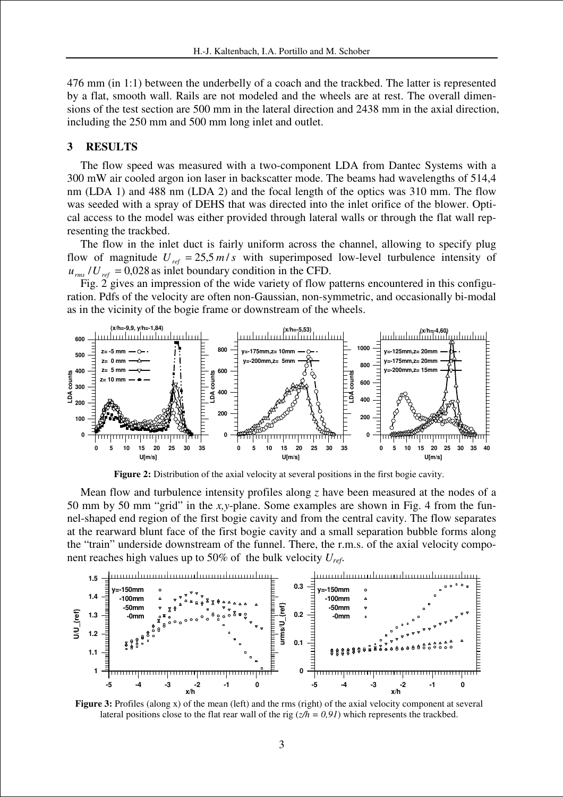476 mm (in 1:1) between the underbelly of a coach and the trackbed. The latter is represented by a flat, smooth wall. Rails are not modeled and the wheels are at rest. The overall dimensions of the test section are 500 mm in the lateral direction and 2438 mm in the axial direction, including the 250 mm and 500 mm long inlet and outlet.

#### **3 RESULTS**

The flow speed was measured with a two-component LDA from Dantec Systems with a 300 mW air cooled argon ion laser in backscatter mode. The beams had wavelengths of 514,4 nm (LDA 1) and 488 nm (LDA 2) and the focal length of the optics was 310 mm. The flow was seeded with a spray of DEHS that was directed into the inlet orifice of the blower. Optical access to the model was either provided through lateral walls or through the flat wall representing the trackbed.

The flow in the inlet duct is fairly uniform across the channel, allowing to specify plug flow of magnitude  $U_{ref} = 25.5 \frac{m}{s}$  with superimposed low-level turbulence intensity of  $u_{rms}/U_{ref} = 0.028$  as inlet boundary condition in the CFD.

Fig. 2 gives an impression of the wide variety of flow patterns encountered in this configuration. Pdfs of the velocity are often non-Gaussian, non-symmetric, and occasionally bi-modal as in the vicinity of the bogie frame or downstream of the wheels.



**Figure 2:** Distribution of the axial velocity at several positions in the first bogie cavity.

Mean flow and turbulence intensity profiles along *z* have been measured at the nodes of a 50 mm by 50 mm "grid" in the *x,y*-plane. Some examples are shown in Fig. 4 from the funnel-shaped end region of the first bogie cavity and from the central cavity. The flow separates at the rearward blunt face of the first bogie cavity and a small separation bubble forms along the "train" underside downstream of the funnel. There, the r.m.s. of the axial velocity component reaches high values up to 50% of the bulk velocity *Uref*.



**Figure 3:** Profiles (along x) of the mean (left) and the rms (right) of the axial velocity component at several lateral positions close to the flat rear wall of the rig  $(z/h = 0.91)$  which represents the trackbed.